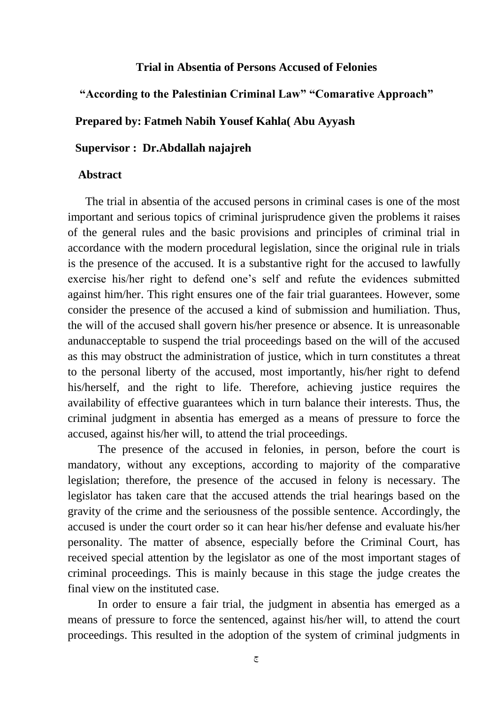## **Trial in Absentia of Persons Accused of Felonies**

**"According to the Palestinian Criminal Law" "Comarative Approach"**

## **Prepared by: Fatmeh Nabih Yousef Kahla( Abu Ayyash**

## **Supervisor : Dr.Abdallah najajreh**

## **Abstract**

 The trial in absentia of the accused persons in criminal cases is one of the most important and serious topics of criminal jurisprudence given the problems it raises of the general rules and the basic provisions and principles of criminal trial in accordance with the modern procedural legislation, since the original rule in trials is the presence of the accused. It is a substantive right for the accused to lawfully exercise his/her right to defend one's self and refute the evidences submitted against him/her. This right ensures one of the fair trial guarantees. However, some consider the presence of the accused a kind of submission and humiliation. Thus, the will of the accused shall govern his/her presence or absence. It is unreasonable andunacceptable to suspend the trial proceedings based on the will of the accused as this may obstruct the administration of justice, which in turn constitutes a threat to the personal liberty of the accused, most importantly, his/her right to defend his/herself, and the right to life. Therefore, achieving justice requires the availability of effective guarantees which in turn balance their interests. Thus, the criminal judgment in absentia has emerged as a means of pressure to force the accused, against his/her will, to attend the trial proceedings.

The presence of the accused in felonies, in person, before the court is mandatory, without any exceptions, according to majority of the comparative legislation; therefore, the presence of the accused in felony is necessary. The legislator has taken care that the accused attends the trial hearings based on the gravity of the crime and the seriousness of the possible sentence. Accordingly, the accused is under the court order so it can hear his/her defense and evaluate his/her personality. The matter of absence, especially before the Criminal Court, has received special attention by the legislator as one of the most important stages of criminal proceedings. This is mainly because in this stage the judge creates the final view on the instituted case.

In order to ensure a fair trial, the judgment in absentia has emerged as a means of pressure to force the sentenced, against his/her will, to attend the court proceedings. This resulted in the adoption of the system of criminal judgments in